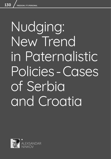# Nudging: New Trend in Paternalistic Policies-Cases of Serbia and Croatia

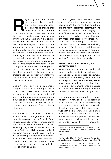egulatory and other related<br>
government policies primarily<br>
aim to alter people's incen-<br>
tives and hence change their<br>
behavior. If the government<br>
wants more people to wear seat belts in government policies primarily aim to alter people's incentives and hence change their behavior. If the government their cars, it legally imposes a penalty for driving without a seat belt. If the government wants people to consume less sugar, they propose a regulation that limits the amount of sugar in products being sold on the market or they impose sugar taxes. However, there is another way of influencing citizens' behavior. People can be nudged in a certain direction without the government introducing regulatory bans or implementing high taxes. As any changes in default options, framing or social influences may have a great impact on the choices people make, public policy creators use insights from psychology to create nudges and as such influence people in a subtler way.

One of the most powerful instruments of nudging is a default rule. People tend to stick to their current position, even when a change would be beneficial to them. If inertia and status quo bias have a great influence on behavior, then a default option plays an important role even if individuals are completely free to choose otherwise.

Serbia and Croatia decided to use the influence of default to nudge their citizens towards being organ donors. As such, Croatia has passed a law that presumes peoples' consent to be organ donors unless an individual explicitly makes a decision not to be one. In Serbia, a bill is being proposed with the same content. In both cases, nothing will be legally prohibited and no changes in economic incentives have been introduced, though presumed consent to be an organ donor has shown to result in higher rates of organ donation.

This kind of government intervention raises a series of questions regarding personal freedoms. On the one hand, some authors use the term 'libertarian paternalism'<sup>1</sup> to describe policies based on nudging. The word 'libertarian' is used because freedom of choice is formally preserved. 'Paternalism' means that despite having freedom of choice, decision-making is still influenced in a direction that increases the wellbeing of people.<sup>2</sup> On the other hand, there are serious critiques of nudging as a new form of influence on behavior that does not respect individuals as independent and capable of following their own goals. $3$ 

#### HUMAN BEHAVIOR AND CHOICE **ARCHITECTURE**

Many seemingly unimportant and small factors can have a significant influence on our decision-making process. For example, consumers are more likely to buy products that are positioned on the shelf at eye level. Also, people are influenced by what others are doing: if government sends a message that many people support organ donation, it makes us think about becoming a donor.

The way options are framed has a great influence on how people make decisions. As an example, individuals are more likely to accept an operation if the doctor tells them that they have a 90% chance of survival than if they were told that there is only a 10% chance they will die.4 When estimating risks and probabilities on their own, people rely on how well they remember events. That is why they estimate that

<sup>1</sup> Thaler, R. H. and C.R. Sunstein (2008) *Nudge: Improving Decisions about Wealth, Health and Happiness*. Yale University Press.

<sup>2</sup> Ibid.

<sup>3</sup> White, M. D. (2013) *The Manipulation of Choice: Ethics and Libertarian Paternalism.* Palgrave Macmillan U.S.

<sup>4</sup> Thaler, R.H. and C.R. Sunstein (2008) *Nudge: Improving Decisions about Wealth, Health and Happiness*. Yale University Press, p. 36.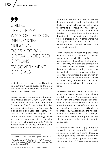99 UNLIKE TRADITIONAL WAYS OF DECISION INFLUENCING, NUDGING DOES NOT BAN OR TAX UNDESIRED OPTIONS BY GOVERNMENT OFFICIALS

death from a tornado is more likely than from asthma.<sup>5</sup> During elections, the order of candidates on a ballot has an impact on the number of votes cast.<sup>6</sup>

Can we explain these systematic deviations from rational behavior? Author Daniel Kahneman<sup>7</sup> writes about System 1 and System 2 reasoning. The former is fast, intuitive, and unconscious. It uses shortcuts to make a conclusion and uses less energy. The latter is slow, deliberative, requires concentration and uses more energy. When someone gives an answer to the question  $2 + 2 = ?$ , he/she uses System 1. When an inexperienced driver tries to park a car in a small space, he/she uses System 2.

System 1 is useful since it does not require deep concentration and consideration all the time. However, System 1 uses shortcuts to come to a conclusion. These conclusions are often very precise, but sometimes they lead to systematic errors. Because the deviations from rationality are systematic, we can predict them. In other words, we can say that in situation X, we will have behavior Y that is biased because of the shortcuts in reasoning.

These shortcuts in reasoning are called heuristics. Some of the most important types include availability heuristics, representativeness heuristics, and anchoring. Availability heuristics are employed in a situation where an individual estimates risk and probability according to emotions. Shark attacks are in fact very rare, but people often overestimate the risk of such an occurrence because when a shark attacks a human being, it stays engraved in our memory and is followed by strong emotions.

Representativeness heuristics imply that people are using categories and classify events by similarity. Anchoring is a situation when a random number influences our estimation. For example, a random price proposed for a product can affect an amount of money that consumers are willing to pay for that product. Additionally, the negotiations of the amount that is to be bought are mainly anchored in the price that was initially proposed, or by the first person to make a bid $8$ 

Governments are increasingly using the knowledge about human behavior with an intent to influence citizens' decisions, and nudge them toward certain outcomes. Subjects that shape options are called "choice architects." These agents create

<sup>5</sup> Kaneman, D. (2015) Misliti, brzo i sporo. Heliks, p. 129.

<sup>6</sup> Thaler, R. H. and C.R. Sunstein, (2008) *Nudge: Improving Decisions about Wealth, Health and Happiness*. Yale University Press, p. 246.

<sup>7</sup> Kaneman, D. (2015) *Misliti, brzo iI sporo*. Heliks.

<sup>8</sup> Ibid., p.116.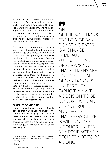a context in which choices are made so they can use factors that influence behavior. It is important to note that, unlike traditional ways of decision influencing, nudging does not ban or tax undesired options by government officials. Choice architects use knowledge from psychology to create efficient and subtle nudges without restricting options available.<sup>9</sup>

For example, a government may send a message to households with information on the usage of electrical energy of their district. If an average usage of energy for the district is lower than the one from the household, there is a large chance a household will lower its own consumption in the future.10 In this way, households with high usage of electrical energy can be nudged to consume less, thus spending less on electrical energy. Moreover, if government officials want to lower consumption of unhealthy foods and drinks, there is a simple nudge at hand – a removal of these products from the shelves that are placed at eye level for the consumers (this regulation can be seen as illiberal because government regulates private entities, but on the other hand people are still free to buy what they want without any restrictions).

#### EXAMPLES OF NUDGING

There are a plethora of examples of public policies that may be used to illustrate the phenomenon of nudging. These include cases for the United States and the United Kingdom where special teams have been created to research, propose, and implement nudges.<sup>11</sup> They focus chiefly on the following areas:

77 ONE OF THE SOLUTIONS FOR LOW ORGAN DONATING RATES IS A CHANGE IN DEFAULT RULES. INSTEAD OF SUPPOSING THAT CITIZENS ARE NOT POTENTIAL ORGAN DONORS UNLESS THEY EXPLICITLY MAKE A DECISION TO BE DONORS, WE CAN CHANGE RUI FS AND DEFINE THAT EVERY CITIZEN IS WILLING TO BE A DONOR UNLESS SOMEONE ACTIVELY DECIDES NOT TO BE A DONOR

<sup>11</sup> http://www.behaviouralinsights.co.uk/

<sup>9</sup> Thaler, R. H. and C.R. Sunstein (2008) *Nudge: Improving Decisions about Wealth, Health and Happiness*. Yale University Press.

<sup>10</sup> Ibid. p. 68.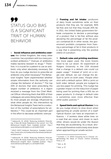## 99 STATUS QUO BIAS IS A SIGNIFICANT TRAIT OF HUMAN BEHAVIOR

1. Social influence and antibiotics overuse: the United Kingdom, like many other countries, has a problem with too many prescribed antibiotics.<sup>12</sup> Overuse of antibiotics makes bacteria resistant to drugs.<sup>13</sup> Therefore, it is crucial for a patient to use an antibiotic only when absolutely necessary. But how do you nudge doctors to prescribe an antibiotic only when necessary? The Behavioral Insights Team experimented whether simple information from the authority can change the behavior of doctors.<sup>14</sup> The top 20% of doctors that were prescribing the largest number of antibiotics in a region received a message from the Chief Medical Officer informing them that 80% of their colleagues are prescribing fewer antibiotics. As most people are strongly influenced by what other people do, this intervention by the Behavioral Insights Team led to a reduction of the number of prescriptions for antibiotics.15 This could be an important part in the effort to decrease antibiotic overuse.

2. Framing and fat intake: producers of dairy foods sometimes write on their products that they are, for example, 80% fat-free and not that they include 20% fat. In 2011, the United States government forbade companies to declare a percentage of a product that is fat-free without also declaring the percentage of fat the product contained.16 In other words, the government prohibits companies from framing a percentage of fat in their products in a way that is presenting only the positive side(s) of a product.

3. Default rules and printing machines: the more paper used, the more forests need to be cut down. An experiment at Rutgers University in the USA showed that a change in a default rule could cut paper usage.<sup>17</sup> Instead of 'print on a single side' default, we can change the default to 'print on both sides.' People often stick with a default option. With a 'print on both sides' default, people are nudged to use less paper for printing. This nudge has a greater impact on the reduction of paper being used for printing than a 10% tax on paper products. A change in default rules is sometimes even more effective than other public policies.18

4. **Speed limits and optical illusion:** how do you nudge drivers to slow down when approaching an unsafe section of a road? Optical illusion can have an important influence – if workers drew white lines on a road that are closer and closer to each other, drivers would be under the illusion that they are accelerating. As a result, drivers would therefore instinctively slow down when approaching an unsafe section.

<sup>12</sup> Hallsworth, M. (2016) "Reducing Antibiotic Prescribing: A New Bit Study Published in the Lancet", [in:] *The Behavioural Insights Team.* Available [online]: http:// www.behaviouralinsights.co.uk/health/1516/

<sup>13</sup> WHO (2017) *Antibiotic Resistance*. Available [online]: http://www.who.int/mediacentre/factsheets/antibioticresistance/en/

<sup>14</sup> *Hallsworth, M. (2016)* "Reducing Antibiotic Prescribing: A New Bit Study Published in the Lancet", [in:] *The Behavioural Insights Team*. Available [online]: http:// www.behaviouralinsights.co.uk/health/1516/

<sup>16</sup> Sunstein, C. R. (2015) Choosing not to Choose: *Understanding the Value of Choice*. Oxford University Press, p. 67.

<sup>17</sup> Ibid., p. 26.

<sup>18</sup> Ibid., p. 27.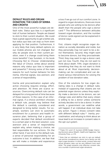## DEFAULT RULES AND ORGAN DONATION: THE CASES OF SERBIA AND CROATIA

One of the most powerful nudges are default rules. Status quo bias is a significant trait of human behavior. People are biased to stick to their current situation. We could have a great opportunity to get a better job, but status quo bias can stop us from even applying for that position. Furthermore, it is very likely that many default options on our mobile phones are not changed. But why do people stick to their current position, even if a change could bring them more benefits? Cass Sunstein, in his book *Choosing Not to Choose: Understanding the Value of Choice*, writes about several reasons why status quo bias is important and powerful.<sup>19</sup> Among some of the main reasons for such human behavior he lists inertia, informal signals, loss aversion, and a sense of responsibility.

Inertia and procrastination explain why active choosing requires energy, effort, and attention. All three are scarce resources. Overcoming default rule can be delayed for a long period of time because of these reasons. In the case of an informal signal, if a choice architect chooses a default rule, people may believe that the default is carefully considered and designed to bring better results. For example, workers can stick to automatic enrollment for a pension and health insurance plan, believing that a group of experts decided that default enrollment to a certain plan is the best solution. Loss aversion and a sense of responsibility explain why, when making a choice, we feel responsible for our actions. On the other hand, if we stick to the default rule, a sense of personal responsibility for an outcome is lost. In addition, we fear that we will make a mistake and experience a loss if we go out of our comfort zone. In regard to organ donations, there are more people who are willing to be donors after death than the people who sign a donor card.20 The difference between attitudes toward organ donation, and the number of donor cards signed can be explained in several ways.

First, citizens might recognize organ donation as socially desirable and noble, but they personally may not want to be a donor themselves. Second, they might want to become donors, but they procrastinate. Third, they may want to sign a donor card, just not now. Fourth, they do not want to think about death. Fifth, organ donation is something that they do not want to think about at all. Most importantly, decisionmaking can be complicated and can demand various interventions for solving the problem of low donation rates.

One of the solutions for low organ donating rates is a change in default rules. Instead of supposing that citizens are not potential organ donors unless they explicitly make a decision to be donors, we can change rules and define that every citizen is willing to be a donor unless someone actively decides not to be a donor. In other words, a government can redefine what will happen if an individual does not take any action. Figure 1 shows consent rates with different default rules.<sup>21</sup> Inertia, procrastination, and refusing to think about an issue lead to an increase in consent rates in the opt-out system.

 $19$  Ibid.

<sup>20</sup> Thaler, R.H. and C.R. Sunstein (2008) *Nudge: Improving Decisions about Wealth, Health and Happiness*. Yale University Press., p. 174.

<sup>&</sup>lt;sup>21</sup> Note that an individual can stick to opt-out default rule and be considered as a donor, but a family can still reject organ donation. In other words, consent rates and actual donation rates can be very different from each other. The graph presents only effective consent rate, not a number of performed organ donations.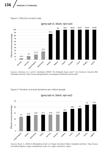#### Figure 1: Effective consent rates



(grey:opt-in, black: opt-out)

Source: Johnson, E.J. and D. Goldstein (2003) "Do Defaults Save Lives?", [in:] *Science*, Volume 302. Available [online]: http://www.dangoldstein.com/papers/DefaultsScience.pdf

 $\mathbb{E}[\mathbf{E}(\mathbf{X})] = \mathbf{E}[\mathbf{E}(\mathbf{X})]$ Figure 2: Number of actual donations per million people



(grey:opt-in, black: opt-out)

Source: Buck, S. (2015) *A Misleading Chart on Organ Donation Rates*. Available [online]: http://www. arnoldfoundation.org/a-misleading-chart-on-organ-donation-rates/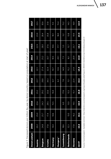| Donors used pm        | 8<br><b>200</b> | 2009 | 2010 | 2011 | 2012 | 2013 | 2014 | 2015 | 2016 | 2017 |
|-----------------------|-----------------|------|------|------|------|------|------|------|------|------|
| Austria               | 20.2            | 25.0 | 22.6 | 23.2 | 22.7 | 22.1 | 24.3 | 22.9 | 23.9 | 23.5 |
| Belgium               | 24.8            | 25.7 | 24.3 | 29.2 | 28.8 | 27.4 | 25.2 | 28.0 | 28.4 | 30.6 |
| Croatia               | 17.8            | 17.4 | 29.5 | 33.6 | 34.3 | 32.4 | 33.7 | 37.6 | 35.8 | 31.8 |
| Germany               | 14.4            | 14.6 | 15.5 | 14.4 | 12.7 | 10.7 | 10.5 | 10.6 | 10.1 | 9.3  |
| Hungary <sup>25</sup> |                 |      |      |      | 6.2  | 12.6 | 20.1 | 17.7 | 18.0 | 15.4 |
| Luxembourg            | 18.6            |      | 6.0  | 17.6 | 7.6  | 14.9 | 7.3  | 5.3  | 5.2  | 15.2 |
| Netherlands           | 12.3            | 13.0 | 13.0 | 13.3 | 15.1 | 15.2 | 16.1 | 15.7 | 13.8 | 14.3 |
| Slovenia              | 17.8            | 16.2 | 19.5 | 15.1 | 22.4 | 21.9 | 20.9 | 25.7 | 19.9 | 18.9 |
| AILET                 | $\frac{15}{1}$  | 16.1 | 16.9 | 16.8 | 15.3 | 14.4 | 14.9 | 15.1 | 14.5 | 13.9 |

Figure 3: Deceased donors per million (by year, by donor country, based on population at start of year) Figure 3: Deceased donors per million (by year, by donor country, based on population at start of year)

Source: Eurotransplant. Available [online]: http://statistics.eurotransplant.org/reportloader.php?report=49044-61138format=html&download=0 Source: Eurotransplant. Available [online]: http://statistics.eurotransplant.org/reportloader.php?report=49044-6113&format=html&download=0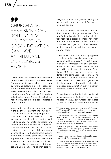## 99 CHURCH ALSO HAS A SIGNIFICANT ROLE TO PLAY – SUPPORTING ORGAN DONATION CAN HAVE AN INFLUENCE ON RELIGIOUS PEOPLE

On the other side, consent rates should not be confused with actual donation rates. The number of people who give consent by following default rule is drastically different from the number of people who actually become donors. Families can reject donation even if their relative followed the default rule. Figure 2 presents actual donation rates, not effective consent rates in same countries.

Importantly, a change in default rules without other interventions might not be sufficient for increasing organ donations and transplants. First, it is crucial to have a good healthcare system with well-equipped hospitals, educated and trained doctors, and efficient coordination among the actors. Second, it is important to educate the public and create a sense of trust in the healthcare system. In the end, a family could refuse to give approval for donation if they believe that a system is corrupt, that only rich people can receive an organ, or that doctors behave unethically. The church also has a significant role to play – supporting organ donation can have an influence on religious people.

Croatia and Serbia decided to implement this nudge and change default rules. Current Serbian law about organ transplantation requires expressed consent for organ donation after death.<sup>22</sup> Families can refuse to donate the organs from their deceased relative even if the relative has signed a donor card.

In Serbia, a bill from 2016 is waiting approval in parliament that would regulate organ donation in a different way.<sup>23</sup> This bill is a part of an effort to increase rates of organ transplants. In 2017, Serbia had only 4.2 donors per million residents.<sup>24</sup> In contrast, Croatia had 31.8 organ donors per million residents in the same year (See Figure 3). The proposed bill defines different criteria for organ donation. Consent for organ donation is presumed, with families being able to oppose organ donation even if a person expressed consent for donation.

Croatia has a law that is similar to the bill being proposed in Serbia.<sup>26</sup> The law was initiated in 2012, but Croatia conducted systematic efforts to raise the number of

*<sup>25</sup>* Hungary became a preliminary member of Eurotransplant in 2012 (full membership in 2013).

<sup>22</sup> "Zakon: O Transplantaciji Organa" (2009) [in:] *Sl. glasnik RS*, Volume 72. Available [online]: (http://www.paragraf.rs/propisi/zakon\_o\_transplantaciji\_organa.html

<sup>23</sup> "Nacrt Zakona o Presađivanju Ljudskih Organa u Svrhu Lečenja – Tekst Propisa" (2016) [in:] *Kompanija Paragraf.*  http://www.paragraf.rs/nacrti\_i\_ predlozi/161216-nacrt\_zakona\_o\_presadjivanju\_ljudskih\_organa\_u\_svrhu\_lecenja.html

<sup>24</sup> Petrović, L. (2017) "U Srbiji udvostručen broj donora organa", [in:] *B59.* Available [online]: https://www.b92. net/zdravlje/vesti.php?yyyy=2017&mm=10&nav\_ id=1313444

<sup>26</sup> "Zakon o presađivanju ljudskih organa u svrhu liječenja" (2012) [in:] *Zakon*, Issue 144. Available [online]: https:// www.zakon.hr/z/556/Zakon-o-presa%C4%91ivanjuljudskih-organa-u-svrhu-lije%C4%8Denja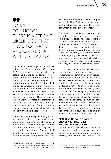## 99 FORCED TO CHOOSE, THERE IS A STRONG LIKELIHOOD THAT PROCRASTINATION AND/OR INERTIA WILL NOT OCCUR

transplants in previous years. Default rule is just one of the measures, (See Figure 3). A rise in deceased donors started long before the law had been adopted. There is good coordination and management, national organization of the transplant program, membership in the Eurotransplant, and public campaign.<sup>27</sup> Importantly, opting out of the default option must be as easy as possible. If people have to spend hours to opt out and choose not to be donors, then it is not a nudge. Nudging requires that freedom of choice be protected. If there are obstacles for choosing other options that take the form of time-consuming bureaucracy and waiting in a hospital, then freedom of choice is not preserved.

There is also a third way of creating a context in which citizens are making decisions about organ donation. An alternative to default rules is 'forced choosing'-- people must choose whether or not they want to be potential organ donors. For example, if an individual wants to get a driver license, he/she must answer a question about organ donating. Mandated choice is implemented in New Zealand – people must mark whether they want to be donors, and it is written on their driver's license.<sup>28</sup>

The idea of mandated choosing has a number of benefits. First of all, when an individual is forced to choose, there is a strong likelihood that procrastination and/or inertia will not occur. There is no default rule – people cannot just do anything. They are actually forced to make a decision. Secondly, it is controversial to assume anything about organ donation. It is an important question, and all individuals should have an exclusive right to decide what they would do with their body parts.

In this context, being aware just how powerful procrastination and inertia are, it is problematic to claim that a person actually wanted to be a donor just because he/she did not make a decision not to be a donor. In addition, it is much easier for a family to decide whether to allow organ donation if their deceased relative actively made a choice. Such a family may also know about inertia and procrastination. A fact that a deceased person stayed firm with the default rule does not tell us anything about their preferences and wishes on organ donation. On the other hand, choice is mandated and it can be a problem for personal freedoms. An individual does not have an option to decide not to make a choice.

### DIFFERENT ORGAN DONATING CHOICE ARCHITECTURES: WHO MAKES A DECISION?

We mentioned three different choice architectures regarding organ donation: presumed rejection to be a donor, presumed consent, and compulsory choice. The

<sup>27</sup> Živčić-Ćosić, S. et al. (2013) "Development of the Croatian Model of Organ Donation and Transplantation", [in:] *Croatian Medical Journal*, Volume 54(1), pp. 65-70.

<sup>28</sup> See: Organ Donation New Zealand. Available [online]: https://www.donor.co.nz/about-odnz/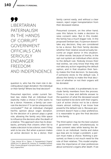99 LIBERTARIAN PATERNALISM IN THE HANDS OF CORRUPT GOVERNMENT OFFICIALS CAN **SERIOUSLY** ENDANGER FREEDOM AND INDEPENDENCE

question is, who has the main role in deciding about organ donation: the individual or their family? Where lies final decision?

Presumed rejection, under current Serbian law, states that an individual must explicitly make a choice if s/he wants to be a donor. However, a family can overrule the decision if 'it can be unequivocally concluded'29 that an individual changed her/his opinion about organ donation. So the decision of a person plays a great role, allowing the family very little space to influence the decision after the death of a relative. This approach also has its drawbacks, primarily that citizens often fail to make a decision to be a donor, even if they wish to be one. But when a person makes an active decision to be a donor, their

family cannot easily, and without a clear reason, reject organ transplantation from their deceased relative.

Presumed consent, on the other hand, uses this failure to make a decision to raise consent rates. But in this model, the family has a much bigger role. In the proposed Serbian law, if a person doesn't take any decision, they are considered to be a donor. But their family decides whether their relative would actually become an organ donor in this situation. In other words: because of inertia, in the opt-out system an individual often sticks to the default rule. Nobody knows their real wishes, we only know that they did not take any action regarding the default option, and in that situation their family makes the final decision. So basically, if someone sticks to the default rule, it allows the family to make the final decision of whether or not their organs will be donated.

Also, in this model, it is problematic to exclude family members from the process. There is no clear and definite answer to the question of what the deceased would have wanted to be done with their organs. Lack of active choice not to be a donor means almost nothing if we know how powerful the default rule is. Because government doesn't have a clear preference, it is reasonable to give the final decision to the family.

The third option may be the best solution if government wants simultaneously to raise consent rates while leaving the decision to an individual. Inertia and status quo bias are no longer a problem; a person must make a choice. Nothing is presumed, so there is not much need for the role of their relatives. This model emphasizes the importance of clear preferences about someone's organs after death. If we

<sup>29</sup> See: Article 50 in "Zakon: O Transplantaciji Organa" (2009) [in:] Sl. *glasnik RS*, Volume 72. Available [online]: (http://www.paragraf.rs/propisi/zakon\_o\_transplantaciji\_organa.html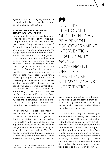agree that just assuming anything about organ donation is controversial, this may be the most plausible option.

## NUDGES: PERSONAL FREEDOM AND ETHICAL CONCERNS

Nudges may be divided according to intentions. The nudges of the first type compel people to act in a way that makes them better off (by their own standards). As people have a tendency to behave in an irrational manner, a government can nudge them in the right direction. For example, a government could nudge people to exercise more, consume less sugar, or save more for retirement. However, as Mark D. White elaborates in his book *The Manipulation of Choice: Ethics and Libertarian Paternalism*, the problem is that there is no way for a government to know people's true goals.<sup>30</sup> Government officials presuppose that there is a set of universally desirable wishes or outcomes. In other words, different goals are not equally valuable by some external 'objective' criteria. This attitude is far from liberal thinking. Of course, individuals have the freedom to act differently, but firstly they are seen as irrational, and secondly if nudges are so powerful, it could be difficult to choose an option that the government does not consider valuable.

The second type of nudges are measures that influence behavior to solve public problems, such as those of organ donation/transplantation or waste/recycling. The problem with this approach is that a government treats citizens like irrational beings that are not capable of being responsible and independent. Therefore, the government uses the same cognitive failures and biases to nudge them. People are sometimes sticking to default rules be-

## 99 JUST LIKE IRRATIONALITY OF CITIZENS CAN BE A REASON FOR GOVERNMENT INTERVENTION, IRRATIONALITY AMONG GOVERNMENT OFFICIALS CAN ALSO BE A REASON AGAINST INTERVENTION

cause they are procrastinating, but government officials use the same human characteristics to get different outcomes. They are not treating people as capable of learning and overcoming mistakes.

The third type of nudges is based on government officials having bad intentions or being biased. Libertarian paternalism in the hands of corrupt government officials can seriously endanger freedom and independence. Officials can turn public policies based on nudging in their favor. In addition, government officials are only human, and are prone to making errors in reasoning. Just like irrationality of citizens can be a reason for government intervention, irrationality among government officials can also be a reason against inter-

141

<sup>30</sup> White, M. D. (2013) *The Manipulation of Choice: Ethics and Libertarian Paternalism.* Palgrave Macmillan US.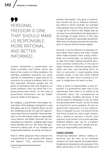## 99 PERSONAL FREEDOM IS ONE THAT SHOULD MAKE US RESPONSIBLE, MORE RATIONAL, AND BETTER INFORMED

vention. Sometimes a government can make a problem even worse, which can lead to the creation of other problems. For example, availability heuristics can cause officials to redistribute a great amount of resources for solving a problem that is not that important. Because people are not good at estimating risks and frequency of some problems, they can think that it requires government action. Or the costs of government intervention can be hidden and not visible at first glance.

By nudging, a government encourages human flaws. If this strategy is designed in a way that takes care of our cognitive flaws, we can act mindlessly and do not have the opportunity to learn from our mistakes. Personal freedom is one that should make us responsible, more rational, and better informed. By manipulating our freedom, nudging takes away those benefits from us. We know that government is taking care of our mindless and irresponsible behavior, so we do not have to.

Mark D. White proposes three solutions for a government to treat people with respect and dignity.<sup>31</sup> First, government should

provide information. The goal of information should not be to influence behavior, but rather to inform neutrally. For example, many people may not know where and how to sign up for a donor card. Maybe they do not even know that patients are dying due to the shortage of organ donors. In this case, the goal should be to raise public awareness. After that, an individual should have full freedom to choose without being nudged.

Second, it can be effective to educate citizens about their biases and flaws. People often make mistakes when acting instinctively and emotionally, so advising them to take time while making important decisions could be constructive. In the case of organ donations, informing people about status quo bias, and educating them on how to overcome it could possibly bring positive results. In the end, when making mistakes, we learn how to control our biases. A nudge does not teach us that.

Third, a sense of responsibility is very important. If a government takes care of our weaknesses, then there is no reason to be concerned about the consequences of our potentially mindless decisions. If the whole system is designed to use our flaws and generate better results, we do not have an incentive to work ourselves. As soon as government steps back, it is our responsibility if a disaster occurs. If someone thinks that there should be more organ donors, and is willing to become a donor, such a person must ensure not to procrastinate. Different default rules can fix a problem now, but in the long term, people are deprived of responsibility and learning.

#### **CONCLUSIONS**

Influencing behavior without setting restrictions can be seen as an attractive measure for both liberals and paternalists. Nudging has already become popular in the West, particularly in the United States and

<sup>31</sup> Ibid. p. .137.